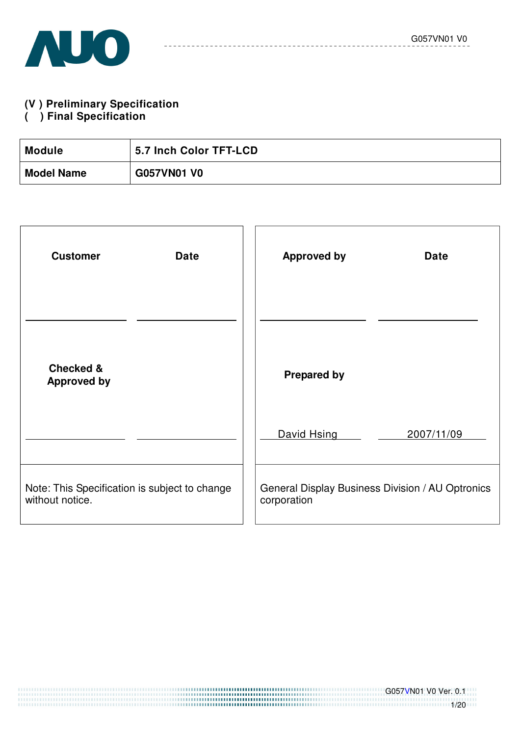

#### **(V ) Preliminary Specification**

#### **( ) Final Specification**

| <b>Module</b>     | 5.7 Inch Color TFT-LCD |
|-------------------|------------------------|
| <b>Model Name</b> | <b>G057VN01 V0</b>     |

| <b>Customer</b><br><b>Date</b>                                   | <b>Approved by</b><br><b>Date</b>                               |
|------------------------------------------------------------------|-----------------------------------------------------------------|
|                                                                  |                                                                 |
| <b>Checked &amp;</b><br><b>Approved by</b>                       | <b>Prepared by</b>                                              |
|                                                                  | David Hsing<br>2007/11/09                                       |
| Note: This Specification is subject to change<br>without notice. | General Display Business Division / AU Optronics<br>corporation |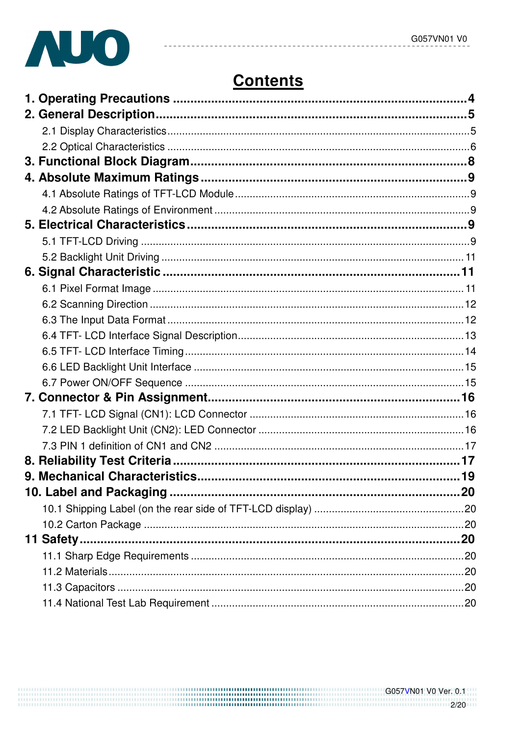

# **Contents**

----------

 $- - - - - -$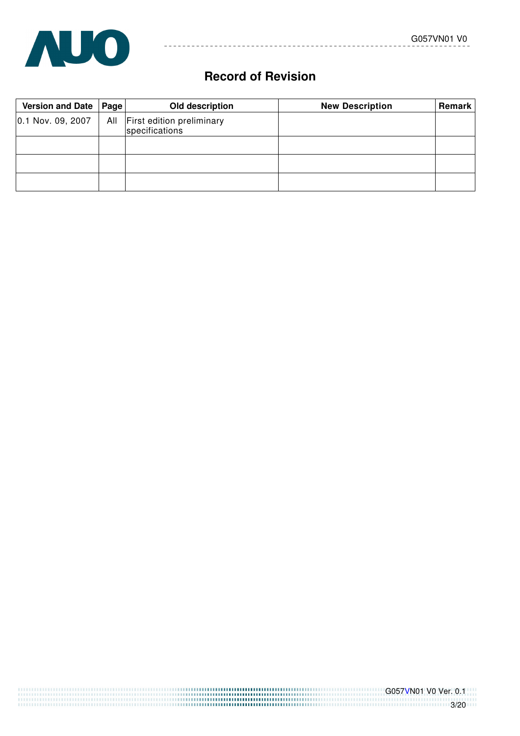

# **Record of Revision**

----------

| Version and Date   Page | Old description                                 | <b>New Description</b> | <b>Remark</b> |
|-------------------------|-------------------------------------------------|------------------------|---------------|
| 0.1 Nov. 09, 2007       | All First edition preliminary<br>specifications |                        |               |
|                         |                                                 |                        |               |
|                         |                                                 |                        |               |
|                         |                                                 |                        |               |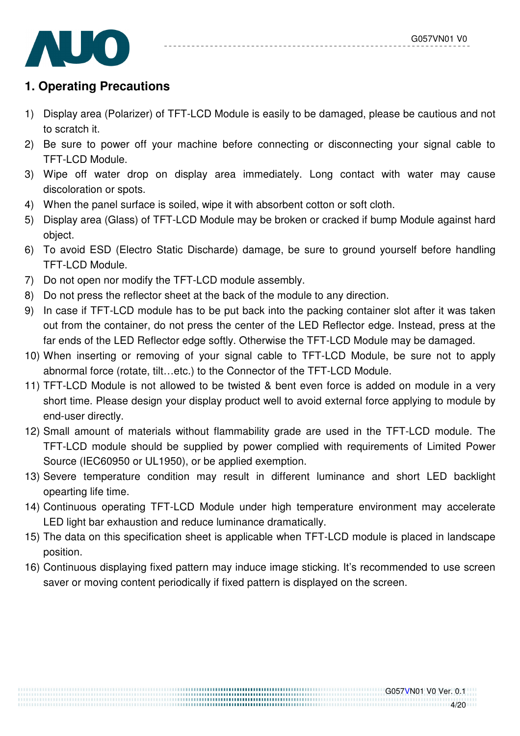

# **1. Operating Precautions**

- 1) Display area (Polarizer) of TFT-LCD Module is easily to be damaged, please be cautious and not to scratch it.
- 2) Be sure to power off your machine before connecting or disconnecting your signal cable to TFT-LCD Module.
- 3) Wipe off water drop on display area immediately. Long contact with water may cause discoloration or spots.
- 4) When the panel surface is soiled, wipe it with absorbent cotton or soft cloth.
- 5) Display area (Glass) of TFT-LCD Module may be broken or cracked if bump Module against hard object.
- 6) To avoid ESD (Electro Static Discharde) damage, be sure to ground yourself before handling TFT-LCD Module.
- 7) Do not open nor modify the TFT-LCD module assembly.
- 8) Do not press the reflector sheet at the back of the module to any direction.
- 9) In case if TFT-LCD module has to be put back into the packing container slot after it was taken out from the container, do not press the center of the LED Reflector edge. Instead, press at the far ends of the LED Reflector edge softly. Otherwise the TFT-LCD Module may be damaged.
- 10) When inserting or removing of your signal cable to TFT-LCD Module, be sure not to apply abnormal force (rotate, tilt…etc.) to the Connector of the TFT-LCD Module.
- 11) TFT-LCD Module is not allowed to be twisted & bent even force is added on module in a very short time. Please design your display product well to avoid external force applying to module by end-user directly.
- 12) Small amount of materials without flammability grade are used in the TFT-LCD module. The TFT-LCD module should be supplied by power complied with requirements of Limited Power Source (IEC60950 or UL1950), or be applied exemption.
- 13) Severe temperature condition may result in different luminance and short LED backlight opearting life time.
- 14) Continuous operating TFT-LCD Module under high temperature environment may accelerate LED light bar exhaustion and reduce luminance dramatically.
- 15) The data on this specification sheet is applicable when TFT-LCD module is placed in landscape position.
- 16) Continuous displaying fixed pattern may induce image sticking. It's recommended to use screen saver or moving content periodically if fixed pattern is displayed on the screen.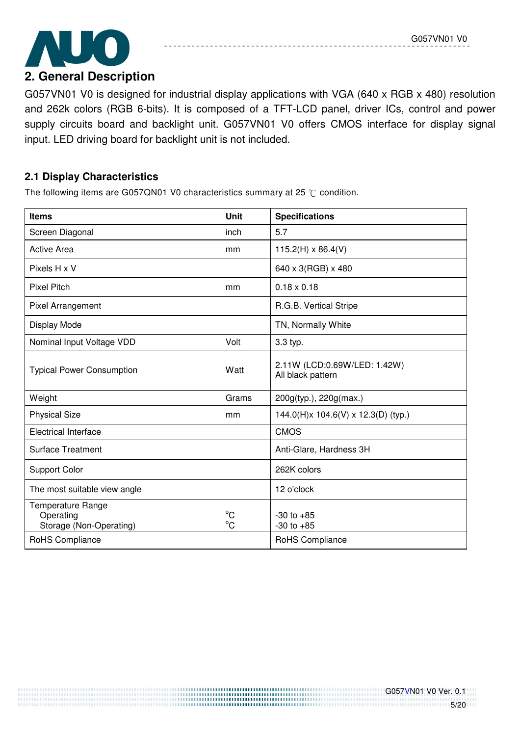

G057VN01 V0 is designed for industrial display applications with VGA (640 x RGB x 480) resolution and 262k colors (RGB 6-bits). It is composed of a TFT-LCD panel, driver ICs, control and power supply circuits board and backlight unit. G057VN01 V0 offers CMOS interface for display signal input. LED driving board for backlight unit is not included.

## **2.1 Display Characteristics**

The following items are G057QN01 V0 characteristics summary at 25  $\degree$ C condition.

| <b>Items</b>                                              | Unit                        | <b>Specifications</b>                             |
|-----------------------------------------------------------|-----------------------------|---------------------------------------------------|
| Screen Diagonal                                           | inch                        | 5.7                                               |
| <b>Active Area</b>                                        | mm                          | $115.2(H) \times 86.4(V)$                         |
| Pixels H x V                                              |                             | 640 x 3(RGB) x 480                                |
| <b>Pixel Pitch</b>                                        | mm                          | $0.18 \times 0.18$                                |
| Pixel Arrangement                                         |                             | R.G.B. Vertical Stripe                            |
| Display Mode                                              |                             | TN, Normally White                                |
| Nominal Input Voltage VDD                                 | Volt                        | 3.3 typ.                                          |
| <b>Typical Power Consumption</b>                          | Watt                        | 2.11W (LCD:0.69W/LED: 1.42W)<br>All black pattern |
| Weight                                                    | Grams                       | 200g(typ.), 220g(max.)                            |
| <b>Physical Size</b>                                      | mm                          | 144.0(H)x 104.6(V) x 12.3(D) (typ.)               |
| <b>Electrical Interface</b>                               |                             | <b>CMOS</b>                                       |
| <b>Surface Treatment</b>                                  |                             | Anti-Glare, Hardness 3H                           |
| <b>Support Color</b>                                      |                             | 262K colors                                       |
| The most suitable view angle                              |                             | 12 o'clock                                        |
| Temperature Range<br>Operating<br>Storage (Non-Operating) | $^{\circ}C$<br>$^{\circ}$ C | $-30$ to $+85$<br>$-30$ to $+85$                  |
| RoHS Compliance                                           |                             | RoHS Compliance                                   |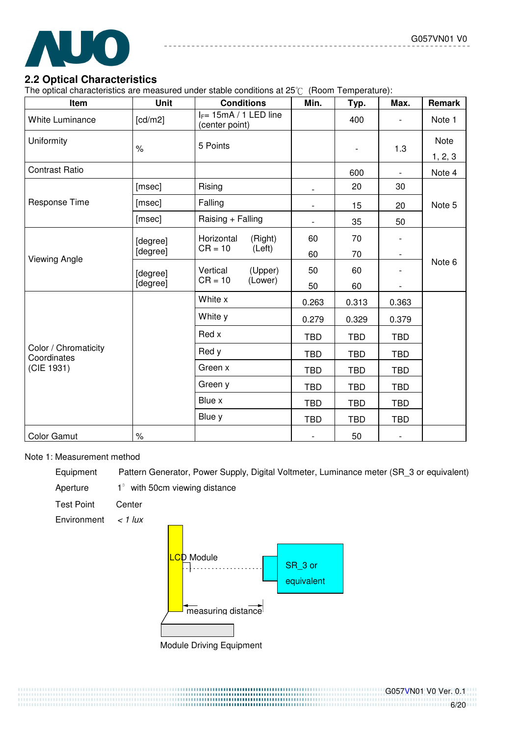

#### **2.2 Optical Characteristics**

The optical characteristics are measured under stable conditions at  $25^{\circ}C$  (Room Temperature):

| Item                                | <b>Unit</b> | <b>Conditions</b>                           |         | Min.                     | Typ.           | Max.                     | Remark  |  |
|-------------------------------------|-------------|---------------------------------------------|---------|--------------------------|----------------|--------------------------|---------|--|
| White Luminance                     | [cd/m2]     | $I_F$ = 15mA / 1 LED line<br>(center point) |         |                          | 400            |                          | Note 1  |  |
| Uniformity                          | $\%$        | 5 Points                                    |         |                          | $\overline{a}$ | 1.3                      | Note    |  |
|                                     |             |                                             |         |                          |                |                          | 1, 2, 3 |  |
| <b>Contrast Ratio</b>               |             |                                             |         |                          | 600            |                          | Note 4  |  |
|                                     | [msec]      | Rising                                      |         | $\overline{\phantom{a}}$ | 20             | 30                       |         |  |
| Response Time                       | [msec]      | Falling                                     |         | $\overline{\phantom{a}}$ | 15             | 20                       | Note 5  |  |
|                                     | [msec]      | Raising + Falling                           |         | $\overline{\phantom{a}}$ | 35             | 50                       |         |  |
|                                     | [degree]    | Horizontal                                  | (Right) | 60                       | 70             |                          |         |  |
| <b>Viewing Angle</b>                | [degree]    | $CR = 10$                                   | (Left)  | 60                       | 70             | $\overline{\phantom{a}}$ |         |  |
|                                     | [degree]    | Vertical                                    | (Upper) | 50                       | 60             |                          | Note 6  |  |
|                                     | [degree]    | $CR = 10$                                   | (Lower) | 50                       | 60             | $\overline{\phantom{a}}$ |         |  |
|                                     |             | White x                                     |         | 0.263                    | 0.313          | 0.363                    |         |  |
|                                     |             | White y                                     |         | 0.279                    | 0.329          | 0.379                    |         |  |
|                                     |             | Red x                                       |         | <b>TBD</b>               | <b>TBD</b>     | <b>TBD</b>               |         |  |
| Color / Chromaticity<br>Coordinates |             | Red y                                       |         | <b>TBD</b>               | <b>TBD</b>     | <b>TBD</b>               |         |  |
| (CIE 1931)                          |             | Green x                                     |         | <b>TBD</b>               | <b>TBD</b>     | <b>TBD</b>               |         |  |
|                                     |             | Green y                                     |         | <b>TBD</b>               | <b>TBD</b>     | <b>TBD</b>               |         |  |
|                                     |             | Blue x                                      |         | <b>TBD</b>               | <b>TBD</b>     | <b>TBD</b>               |         |  |
|                                     |             | Blue y                                      |         | <b>TBD</b>               | <b>TBD</b>     | <b>TBD</b>               |         |  |
| <b>Color Gamut</b>                  | $\%$        |                                             |         |                          | 50             | $\overline{\phantom{a}}$ |         |  |

#### Note 1: Measurement method

Equipment Pattern Generator, Power Supply, Digital Voltmeter, Luminance meter (SR\_3 or equivalent)

Aperture  $1^\circ$  with 50cm viewing distance

Test Point Center

Environment  $\lt$  1 lux

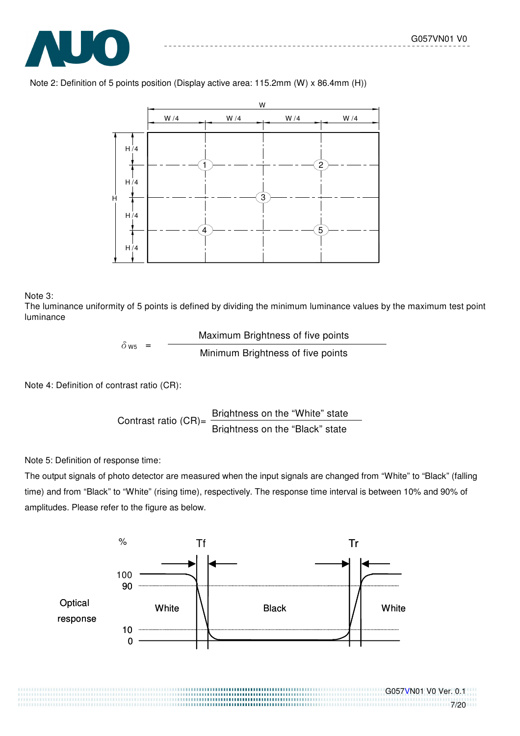

Note 2: Definition of 5 points position (Display active area: 115.2mm (W) x 86.4mm (H))



#### Note 3:

The luminance uniformity of 5 points is defined by dividing the minimum luminance values by the maximum test point luminance

$$
\delta_{\text{W5}} = \frac{\text{Maximum Brightness of five points}}{\text{Minimum Brightness of five points}}
$$

Note 4: Definition of contrast ratio (CR):

Contrast ratio 
$$
(CR) = \frac{Briahtness on the "White" state  
Briahtness on the "Black" state
$$

Note 5: Definition of response time:

The output signals of photo detector are measured when the input signals are changed from "White" to "Black" (falling time) and from "Black" to "White" (rising time), respectively. The response time interval is between 10% and 90% of amplitudes. Please refer to the figure as below.



#### G057VN01 V0 Ver. 0.1 111111111111111111111111117/20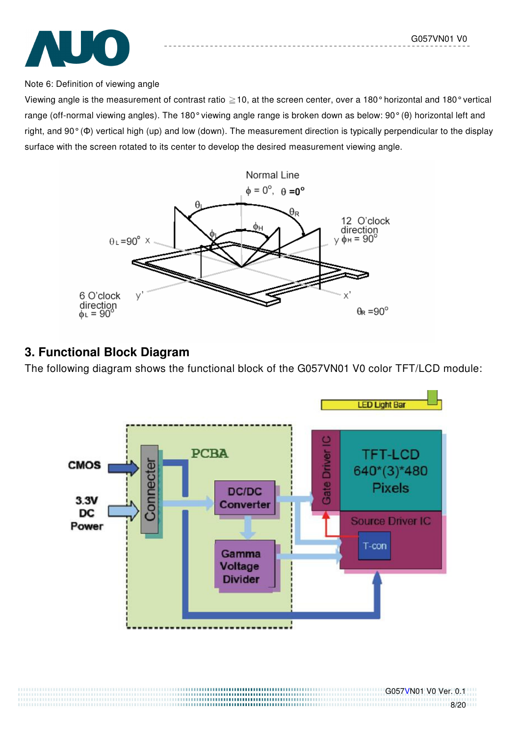

#### Note 6: Definition of viewing angle

Viewing angle is the measurement of contrast ratio  $\geq$  10, at the screen center, over a 180° horizontal and 180° vertical range (off-normal viewing angles). The 180° viewing angle range is broken down as below: 90° (θ) horizontal left and right, and 90° (Φ) vertical high (up) and low (down). The measurement direction is typically perpendicular to the display surface with the screen rotated to its center to develop the desired measurement viewing angle.



# **3. Functional Block Diagram**

The following diagram shows the functional block of the G057VN01 V0 color TFT/LCD module:

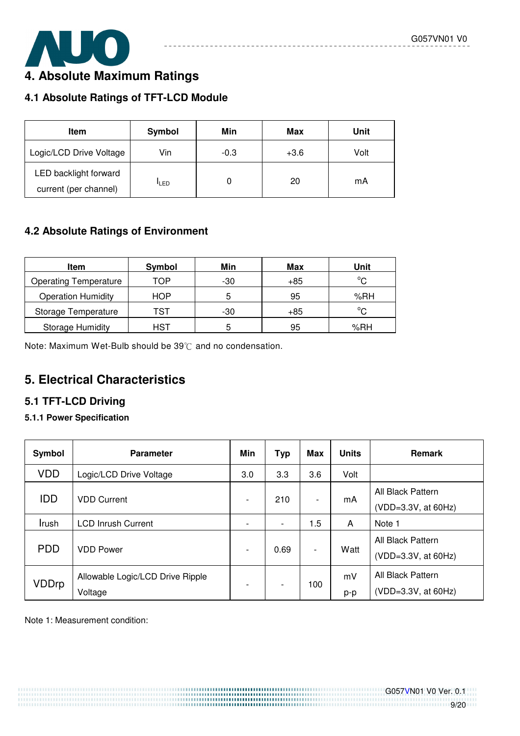![](_page_8_Picture_1.jpeg)

# **4. Absolute Maximum Ratings**

# **4.1 Absolute Ratings of TFT-LCD Module**

| Item                                           | Symbol       | Min    | Max    | Unit |
|------------------------------------------------|--------------|--------|--------|------|
| Logic/LCD Drive Voltage                        | Vin          | $-0.3$ | $+3.6$ | Volt |
| LED backlight forward<br>current (per channel) | <b>I</b> LED |        | 20     | mA   |

# **4.2 Absolute Ratings of Environment**

| <b>Item</b>                  | Symbol | Min | Max   | Unit         |
|------------------------------|--------|-----|-------|--------------|
| <b>Operating Temperature</b> | TOP    | -30 | $+85$ | $^{\circ}$ C |
| <b>Operation Humidity</b>    | HOP    | 5   | 95    | %RH          |
| Storage Temperature          | TST    | -30 | $+85$ | °C           |
| <b>Storage Humidity</b>      | HST    |     | 95    | %RH          |

Note: Maximum Wet-Bulb should be  $39^{\circ}$ C and no condensation.

# **5. Electrical Characteristics**

## **5.1 TFT-LCD Driving**

#### **5.1.1 Power Specification**

| Symbol     | <b>Parameter</b>                            | Min                          | <b>Typ</b> | <b>Max</b>               | <b>Units</b> | <b>Remark</b>                            |
|------------|---------------------------------------------|------------------------------|------------|--------------------------|--------------|------------------------------------------|
| <b>VDD</b> | Logic/LCD Drive Voltage                     | 3.0                          | 3.3        | 3.6                      | Volt         |                                          |
| <b>IDD</b> | <b>VDD Current</b>                          | $\qquad \qquad \blacksquare$ | 210        | $\overline{\phantom{a}}$ | mA           | All Black Pattern<br>(VDD=3.3V, at 60Hz) |
| Irush      | <b>LCD Inrush Current</b>                   | $\overline{\phantom{a}}$     | -          | 1.5                      | A            | Note 1                                   |
| <b>PDD</b> | <b>VDD Power</b>                            | $\overline{\phantom{a}}$     | 0.69       | $\overline{\phantom{a}}$ | Watt         | All Black Pattern<br>(VDD=3.3V, at 60Hz) |
| VDDrp      | Allowable Logic/LCD Drive Ripple<br>Voltage | $\overline{\phantom{a}}$     | -          | 100                      | mV<br>p-p    | All Black Pattern<br>(VDD=3.3V, at 60Hz) |

#### Note 1: Measurement condition: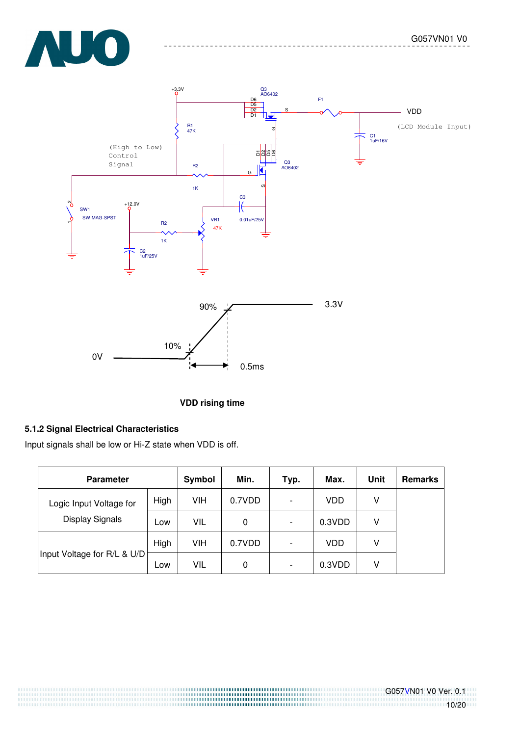![](_page_9_Picture_1.jpeg)

![](_page_9_Figure_2.jpeg)

#### **VDD rising time**

#### **5.1.2 Signal Electrical Characteristics**

Input signals shall be low or Hi-Z state when VDD is off.

| <b>Parameter</b>            | Symbol | Min. | Typ.   | Max.                     | Unit   | <b>Remarks</b> |  |
|-----------------------------|--------|------|--------|--------------------------|--------|----------------|--|
| Logic Input Voltage for     | High   | VIH  | 0.7VDD | $\overline{\phantom{a}}$ | VDD    | V              |  |
| Display Signals             | Low    | VIL  | 0      | $\overline{\phantom{a}}$ | 0.3VDD | V              |  |
|                             | High   | VIH  | 0.7VDD | $\overline{\phantom{a}}$ | VDD    | v              |  |
| Input Voltage for R/L & U/D | Low    | VIL  | 0      | $\overline{\phantom{a}}$ | 0.3VDD | V              |  |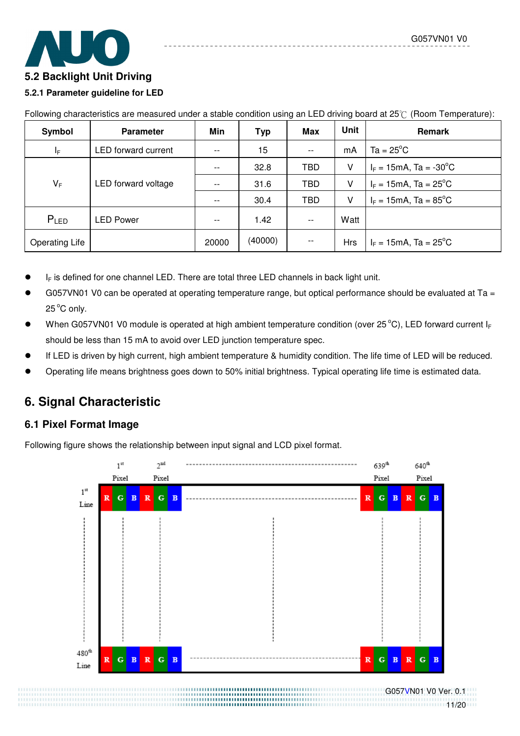## **5.2 Backlight Unit Driving**

#### **5.2.1 Parameter guideline for LED**

| Symbol                | <b>Parameter</b>    | Min   | <b>Typ</b> | <b>Max</b> | Unit       | Remark                                         |
|-----------------------|---------------------|-------|------------|------------|------------|------------------------------------------------|
| $I_F$                 | LED forward current | $- -$ | 15         | $- -$      | mA         | $Ta = 25^{\circ}C$                             |
|                       |                     | $- -$ | 32.8       | <b>TBD</b> | v          | $I_F = 15 \text{mA}$ , Ta = -30 <sup>o</sup> C |
| $V_F$                 | LED forward voltage |       | 31.6       | <b>TBD</b> | v          | $I_F = 15 \text{mA}$ , Ta = 25 <sup>o</sup> C  |
|                       |                     | --    | 30.4       | <b>TBD</b> | v          | $I_F = 15 \text{mA}$ , Ta = 85 <sup>o</sup> C  |
| $P_{LED}$             | LED Power           |       | 1.42       | $ -$       | Watt       |                                                |
| <b>Operating Life</b> |                     | 20000 | (40000)    | $-$        | <b>Hrs</b> | $I_F = 15 \text{mA}$ , Ta = 25 <sup>°</sup> C  |

Following characteristics are measured under a stable condition using an LED driving board at  $25\degree$  (Room Temperature):

- $I_F$  is defined for one channel LED. There are total three LED channels in back light unit.
- G057VN01 V0 can be operated at operating temperature range, but optical performance should be evaluated at Ta = 25<sup>°</sup>C only.
- When G057VN01 V0 module is operated at high ambient temperature condition (over 25 °C), LED forward current  $I_F$ should be less than 15 mA to avoid over LED junction temperature spec.
- If LED is driven by high current, high ambient temperature & humidity condition. The life time of LED will be reduced.
- Operating life means brightness goes down to 50% initial brightness. Typical operating life time is estimated data.

# **6. Signal Characteristic**

## **6.1 Pixel Format Image**

Following figure shows the relationship between input signal and LCD pixel format.

![](_page_10_Figure_14.jpeg)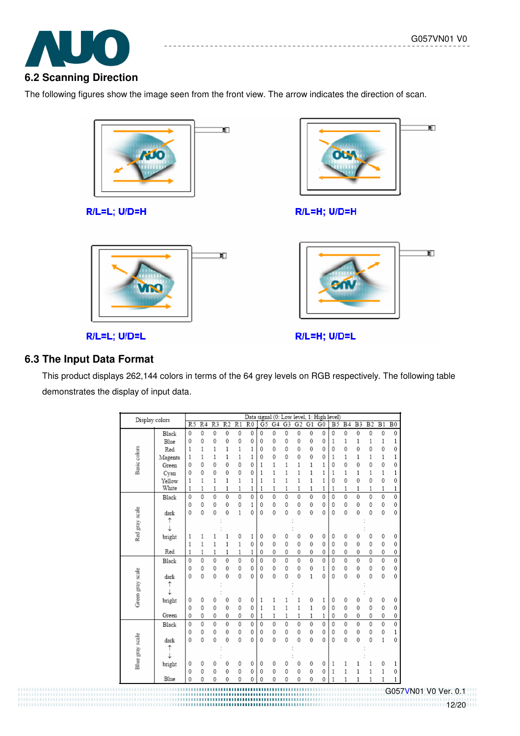![](_page_11_Picture_1.jpeg)

The following figures show the image seen from the front view. The arrow indicates the direction of scan.

![](_page_11_Picture_3.jpeg)

R/L=L; U/D=H

![](_page_11_Picture_5.jpeg)

R/L=L; U/D=L

Ю

R/L=H; U/D=H

![](_page_11_Picture_9.jpeg)

R/L=H; U/D=L

## **6.3 The Input Data Format**

This product displays 262,144 colors in terms of the 64 grey levels on RGB respectively. The following table demonstrates the display of input data.

| Display colors      |         |                |                 |                 |                 |                 |                 |                |              |                |                 |                | Data signal (0: Low level, 1: High level) |                 |                |                |                 |                 |             |
|---------------------|---------|----------------|-----------------|-----------------|-----------------|-----------------|-----------------|----------------|--------------|----------------|-----------------|----------------|-------------------------------------------|-----------------|----------------|----------------|-----------------|-----------------|-------------|
|                     |         | R <sub>5</sub> | $\overline{R4}$ | $\overline{R3}$ | $\overline{R}2$ | $\overline{R1}$ | $\overline{R0}$ | G <sub>5</sub> | G4           | G <sub>3</sub> | G <sub>2</sub>  | G1             | $\overline{G}0$                           | $\overline{B5}$ | B <sub>4</sub> | B <sub>3</sub> | $\overline{B2}$ | $\overline{B1}$ | $_{\rm B0}$ |
|                     | Black   | $\mathbf{0}$   | 0               | 0               | 0               | 0               | $\theta$        | $\mathbf 0$    | 0            | 0              | 0               | $\mathbf 0$    | 0                                         | 0               | 0              | $\mathbf 0$    | 0               | $\mathbf 0$     | 0           |
|                     | Blue    | 0              | 0               | 0               | 0               | 0               | $\theta$        | $\mathbf{0}$   | 0            | 0              | 0               | 0              | 0                                         | 1               | 1              | 1              | 1               | 1               | 1           |
|                     | Red     | 1              | 1               | 1               | $\mathbf{1}$    | $\mathbf{1}$    | 1               | 0              | 0            | 0              | 0               | 0              | 0                                         | 0               | 0              | 0              | 0               | 0               | 0           |
|                     | Magenta | 1              | 1               | 1               | 1               | 1               | 1               | 0              | 0            | 0              | 0               | 0              | 0                                         | 1               | $\mathbf{1}$   | 1              | 1               | 1               | 1           |
| <b>Basic</b> colors | Green   | 0              | 0               | 0               | 0               | 0               | 0               | 1              | 1            | 1              | 1               | 1              | 1                                         | 0               | 0              | 0              | 0               | 0               | 0           |
|                     | Cyan    | 0              | 0               | 0               | 0               | 0               | 0               | 1              | $\mathbf{1}$ | 1              | 1               | $\mathbf{1}$   | 1                                         | 1               | $\mathbf{1}$   | 1              | 1               | 1               | 1           |
|                     | Yellow  | 1              | 1               | 1               | $\mathbf{1}$    | $\mathbf{1}$    | 1               | 1              | $\mathbf{1}$ | 1              | 1               | $\mathbf{1}$   | 1                                         | 0               | 0              | 0              | 0               | 0               | 0           |
|                     | White   | 1              | 1               | 1               | $\mathbf{1}$    | $\mathbf{1}$    | 1               | 1              | $\mathbf{1}$ | $\mathbf{1}$   | 1               | 1              | 1                                         | 1               | $\mathbf{1}$   | 1              | 1               | 1               | 1           |
|                     | Black   | $\mathbf 0$    | 0               | $\ddot{\rm{o}}$ | 0               | 0               | $\theta$        | $\theta$       | 0            | 0              | $\ddot{\rm{o}}$ | 0              | 0                                         | 0               | 0              | $\theta$       | 0               | $\mathbf 0$     | 0           |
|                     |         | $\mathbf 0$    | 0               | 0               | 0               | 0               | 1               | 0              | 0            | 0              | 0               | 0              | 0                                         | 0               | 0              | 0              | 0               | 0               | 0           |
|                     | dark    | $\mathbf{0}$   | 0               | $\mathbf{0}$    | 0               | $\mathbf{1}$    | 0               | 0              | 0            | 0              | 0               | 0              | 0                                         | 0               | 0              | 0              | 0               | 0               | 0           |
| Red gray scale      | ↑       |                |                 |                 |                 |                 |                 |                |              |                |                 |                |                                           |                 |                |                |                 |                 |             |
|                     | ↓       |                |                 |                 |                 |                 |                 |                |              |                |                 |                |                                           |                 |                |                |                 |                 |             |
|                     | bright  | 1              | 1               |                 | 1               | 0               | 1               | 0              | 0            | 0              | 0               | 0              | 0                                         | 0               | 0              | 0              | 0               | 0               | 0           |
|                     |         | 1              | 1               | 1               | $\mathbf{1}$    | 1               | $\theta$        | $\mathbf 0$    | 0            | 0              | 0               | 0              | 0                                         | 0               | 0              | 0              | 0               | $\mathbf 0$     | 0           |
|                     | Red     | 1              | 1               | 1               | 1               | 1               | 1               | 0              | 0            | 0              | 0               | 0              | 0                                         | 0               | 0              | 0              | 0               | 0               | 0           |
|                     | Black   | $\theta$       | $\theta$        | $\ddot{\rm{o}}$ | $\theta$        | $\mathbf{0}$    | $\theta$        | $\theta$       | $\theta$     | 0              | $\ddot{\rm{o}}$ | $\mathbf 0$    | 0                                         | 0               | 0              | $\theta$       | $\mathbf{0}$    | 0               | $\mathbf 0$ |
|                     |         | 0              | 0               | 0               | 0               | 0               | $\theta$        | $\theta$       | 0            | 0              | 0               | 0              | 1                                         | 0               | 0              | 0              | 0               | $\mathbf 0$     | $\mathbf 0$ |
|                     | dark    | 0              | 0               | $\theta$        | 0               | 0               | 0               | 0              | 0            | 0              | $\theta$        | $\mathbf{1}$   | 0                                         | 0               | 0              | 0              | 0               | $\mathbf 0$     | 0           |
|                     | ↑       |                |                 |                 |                 |                 |                 |                |              |                |                 |                |                                           |                 |                |                |                 |                 |             |
| Green gray scale    | J       |                |                 |                 |                 |                 |                 |                |              |                |                 |                |                                           |                 |                |                |                 |                 |             |
|                     | bright  | 0              | 0               | 0               | 0               | 0               | $\mathbf{0}$    | 1              | 1            | 1              | 1               | 0              | 1                                         | 0               | 0              | 0              | 0               | 0               | 0           |
|                     |         | 0              | 0               | 0               | 0               | 0               | 0               | 1              | $\mathbf{1}$ | 1              | 1               | $\mathbf{1}$   | 0                                         | 0               | 0              | $\theta$       | 0               | 0               | 0           |
|                     | Green   | 0              | 0               | 0               | 0               | 0               | 0               | 1              | 1            | 1              | 1               | 1              | 1                                         | 0               | 0              | 0              | 0               | 0               | 0           |
|                     | Black   | $\overline{0}$ | $\mathbf{0}$    | $\ddot{\rm{o}}$ | 0               | 0               | $\mathbf{0}$    | $\theta$       | 0            | 0              | $\ddot{\rm{o}}$ | $\overline{0}$ | 0                                         | 0               | 0              | $\theta$       | $\overline{0}$  | $\overline{0}$  | 0           |
|                     |         | 0              | 0               | 0               | 0               | 0               | 0               | $\mathbf 0$    | 0            | 0              | 0               | 0              | 0                                         | 0               | 0              | $\mathbf 0$    | 0               | 0               | 1           |
|                     | dark    | 0              | 0               | 0               | 0               | 0               | $\theta$        | 0              | 0            | 0              | $\mathbf 0$     | $\mathbf 0$    | 0                                         | 0               | 0              | 0              | 0               | 1               | 0           |
|                     | ↑       |                |                 |                 |                 |                 |                 |                |              |                |                 |                |                                           |                 |                |                |                 |                 |             |
|                     | J       |                |                 |                 |                 |                 |                 |                |              |                |                 |                |                                           |                 |                |                |                 |                 |             |
| Blue gray scale     | bright  | 0              | 0               | 0               | 0               | 0               | $\theta$        | 0              | 0            | 0              | 0               | 0              | 0                                         | 1               | 1              |                | 1               | 0               | 1           |
|                     |         | 0              | 0               | 0               | 0               | $\mathbf{0}$    | $\theta$        | $\mathbf{0}$   | 0            | 0              | 0               | 0              | 0                                         | 1               | 1              | 1              | 1               | 1               | 0           |
|                     | Blue    | 0              | 0               | 0               | 0               | 0               | 0               | 0              | 0            | 0              | 0               | 0              | 0                                         | 1               | $\mathbf{1}$   | 1              | 1               | $\mathbf{1}$    | 1           |

 G057VN01 V0 Ver. 0.1 12/20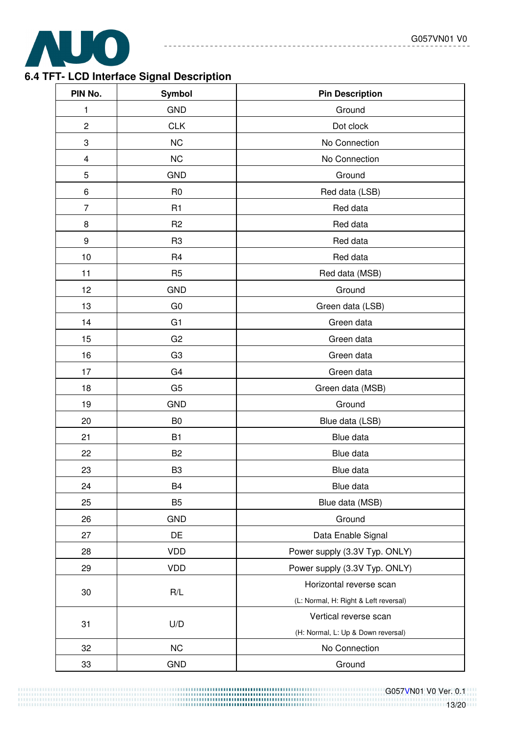\_\_\_\_\_\_\_\_\_\_\_\_\_\_

------------

![](_page_12_Picture_1.jpeg)

# **6.4 TFT- LCD Interface Signal Description**

| PIN No.        | Symbol         | <b>Pin Description</b>                |  |  |
|----------------|----------------|---------------------------------------|--|--|
| 1              | <b>GND</b>     | Ground                                |  |  |
| $\overline{c}$ | <b>CLK</b>     | Dot clock                             |  |  |
| 3              | <b>NC</b>      | No Connection                         |  |  |
| 4              | <b>NC</b>      | No Connection                         |  |  |
| 5              | <b>GND</b>     | Ground                                |  |  |
| 6              | R <sub>0</sub> | Red data (LSB)                        |  |  |
| $\overline{7}$ | R1             | Red data                              |  |  |
| 8              | R <sub>2</sub> | Red data                              |  |  |
| 9              | R <sub>3</sub> | Red data                              |  |  |
| 10             | R <sub>4</sub> | Red data                              |  |  |
| 11             | R <sub>5</sub> | Red data (MSB)                        |  |  |
| 12             | <b>GND</b>     | Ground                                |  |  |
| 13             | G <sub>0</sub> | Green data (LSB)                      |  |  |
| 14             | G <sub>1</sub> | Green data                            |  |  |
| 15             | G <sub>2</sub> | Green data                            |  |  |
| 16             | G <sub>3</sub> | Green data                            |  |  |
| 17             | G <sub>4</sub> | Green data                            |  |  |
| 18             | G <sub>5</sub> | Green data (MSB)                      |  |  |
| 19             | <b>GND</b>     | Ground                                |  |  |
| 20             | B <sub>0</sub> | Blue data (LSB)                       |  |  |
| 21             | <b>B1</b>      | Blue data                             |  |  |
| 22             | B <sub>2</sub> | Blue data                             |  |  |
| 23             | B <sub>3</sub> | Blue data                             |  |  |
| 24             | B <sub>4</sub> | Blue data                             |  |  |
| 25             | B <sub>5</sub> | Blue data (MSB)                       |  |  |
| 26             | <b>GND</b>     | Ground                                |  |  |
| 27             | DE             | Data Enable Signal                    |  |  |
| 28             | <b>VDD</b>     | Power supply (3.3V Typ. ONLY)         |  |  |
| 29             | <b>VDD</b>     | Power supply (3.3V Typ. ONLY)         |  |  |
|                | R/L            | Horizontal reverse scan               |  |  |
| 30             |                | (L: Normal, H: Right & Left reversal) |  |  |
| 31             | U/D            | Vertical reverse scan                 |  |  |
|                |                | (H: Normal, L: Up & Down reversal)    |  |  |
| 32             | NC             | No Connection                         |  |  |
| 33             | <b>GND</b>     | Ground                                |  |  |

 G057VN01 V0 Ver. 0.1 13/20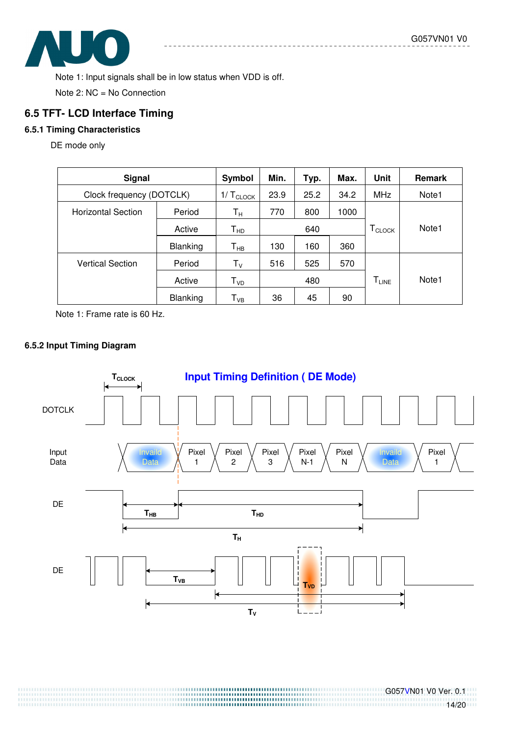![](_page_13_Picture_1.jpeg)

Note 1: Input signals shall be in low status when VDD is off.

Note 2: NC = No Connection

## **6.5 TFT- LCD Interface Timing**

#### **6.5.1 Timing Characteristics**

DE mode only

| <b>Signal</b>             |                 | Symbol                  | Min. | Typ. | Max. | <b>Unit</b>                       | <b>Remark</b> |
|---------------------------|-----------------|-------------------------|------|------|------|-----------------------------------|---------------|
| Clock frequency (DOTCLK)  |                 | 1/T <sub>CLOCK</sub>    | 23.9 | 25.2 | 34.2 | MHz                               | Note1         |
| <b>Horizontal Section</b> | Period          | $\mathsf{T}_\mathsf{H}$ | 770  | 800  | 1000 |                                   |               |
|                           | Active          | ${\sf T}_{\sf HD}$      |      | 640  |      | $T_{\scriptsize{\textsf{CLOCK}}}$ | Note1         |
|                           | <b>Blanking</b> | $T_{HB}$                | 130  | 160  | 360  |                                   |               |
| <b>Vertical Section</b>   | Period          | $T_V$                   | 516  | 525  | 570  |                                   |               |
|                           | Active          | T <sub>VD</sub>         |      | 480  |      | $T_{LINE}$                        | Note1         |
|                           | <b>Blanking</b> | $T_{VB}$                | 36   | 45   | 90   |                                   |               |

Note 1: Frame rate is 60 Hz.

#### **6.5.2 Input Timing Diagram**

![](_page_13_Figure_10.jpeg)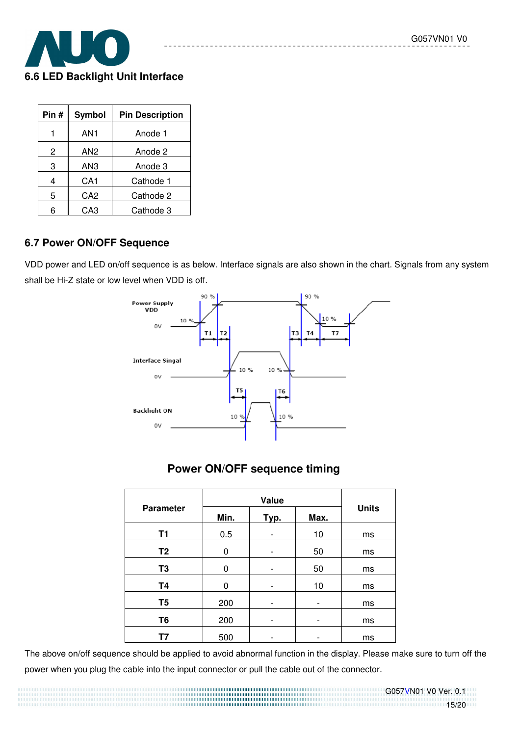![](_page_14_Picture_1.jpeg)

| Pin # | <b>Symbol</b>   | <b>Pin Description</b> |
|-------|-----------------|------------------------|
|       | AN1             | Anode 1                |
| 2     | AN <sub>2</sub> | Anode 2                |
| 3     | AN3             | Anode 3                |
| 4     | CA <sub>1</sub> | Cathode 1              |
| 5     | CA2             | Cathode 2              |
|       | CA3             | Cathode 3              |

#### **6.7 Power ON/OFF Sequence**

VDD power and LED on/off sequence is as below. Interface signals are also shown in the chart. Signals from any system shall be Hi-Z state or low level when VDD is off.

![](_page_14_Figure_5.jpeg)

# **Power ON/OFF sequence timing**

| <b>Parameter</b> | Min. | Typ. | Max.                     | <b>Units</b> |
|------------------|------|------|--------------------------|--------------|
| T1               | 0.5  |      | 10                       | ms           |
| T <sub>2</sub>   | 0    |      | 50                       | ms           |
| T <sub>3</sub>   | 0    |      | 50                       | ms           |
| <b>T4</b>        | 0    |      | 10                       | ms           |
| T <sub>5</sub>   | 200  |      |                          | ms           |
| T <sub>6</sub>   | 200  |      | -                        | ms           |
| Τ7               | 500  |      | $\overline{\phantom{0}}$ | ms           |

The above on/off sequence should be applied to avoid abnormal function in the display. Please make sure to turn off the power when you plug the cable into the input connector or pull the cable out of the connector.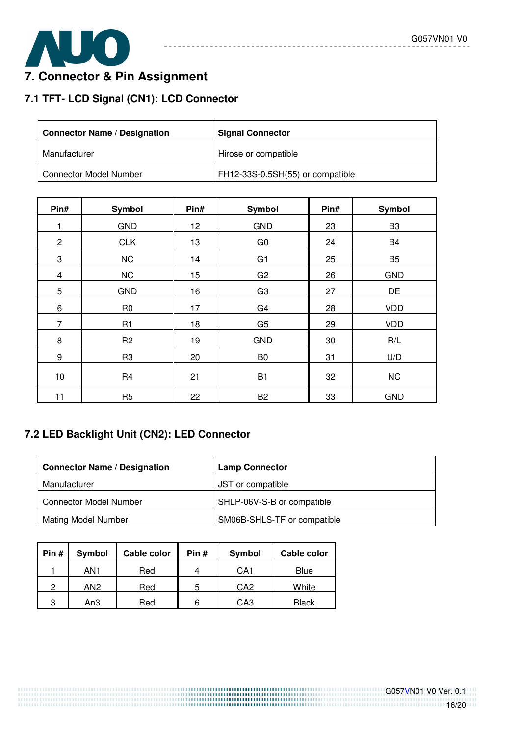![](_page_15_Picture_1.jpeg)

# **7. Connector & Pin Assignment**

# **7.1 TFT- LCD Signal (CN1): LCD Connector**

| <b>Connector Name / Designation</b> | <b>Signal Connector</b>          |  |  |
|-------------------------------------|----------------------------------|--|--|
| Manufacturer                        | Hirose or compatible             |  |  |
| <b>Connector Model Number</b>       | FH12-33S-0.5SH(55) or compatible |  |  |

---------

-------------

| Pin#                    | <b>Symbol</b>  | Pin# | <b>Symbol</b>  | Pin# | <b>Symbol</b>  |
|-------------------------|----------------|------|----------------|------|----------------|
|                         | <b>GND</b>     | 12   | <b>GND</b>     | 23   | B <sub>3</sub> |
| $\overline{c}$          | <b>CLK</b>     | 13   | G <sub>0</sub> | 24   | <b>B4</b>      |
| 3                       | <b>NC</b>      | 14   | G <sub>1</sub> | 25   | B <sub>5</sub> |
| $\overline{\mathbf{4}}$ | <b>NC</b>      | 15   | G <sub>2</sub> | 26   | <b>GND</b>     |
| 5                       | <b>GND</b>     | 16   | G <sub>3</sub> | 27   | DE             |
| 6                       | R <sub>0</sub> | 17   | G <sub>4</sub> | 28   | <b>VDD</b>     |
| 7                       | R1             | 18   | G <sub>5</sub> | 29   | <b>VDD</b>     |
| 8                       | R <sub>2</sub> | 19   | <b>GND</b>     | 30   | R/L            |
| 9                       | R <sub>3</sub> | 20   | B <sub>0</sub> | 31   | U/D            |
| 10                      | R <sub>4</sub> | 21   | <b>B1</b>      | 32   | <b>NC</b>      |
| 11                      | R <sub>5</sub> | 22   | B <sub>2</sub> | 33   | <b>GND</b>     |

# **7.2 LED Backlight Unit (CN2): LED Connector**

| <b>Connector Name / Designation</b> | <b>Lamp Connector</b>       |
|-------------------------------------|-----------------------------|
| Manufacturer                        | JST or compatible           |
| <b>Connector Model Number</b>       | SHLP-06V-S-B or compatible  |
| <b>Mating Model Number</b>          | SM06B-SHLS-TF or compatible |

| Pin $#$ | Symbol          | Cable color | Pin # | Symbol          | Cable color  |
|---------|-----------------|-------------|-------|-----------------|--------------|
|         | AN1             | Red         | 4     | CA1             | Blue         |
| റ       | AN <sub>2</sub> | Red         | 5     | CA <sub>2</sub> | White        |
| 3       | An3             | Red         | 6     | CA3             | <b>Black</b> |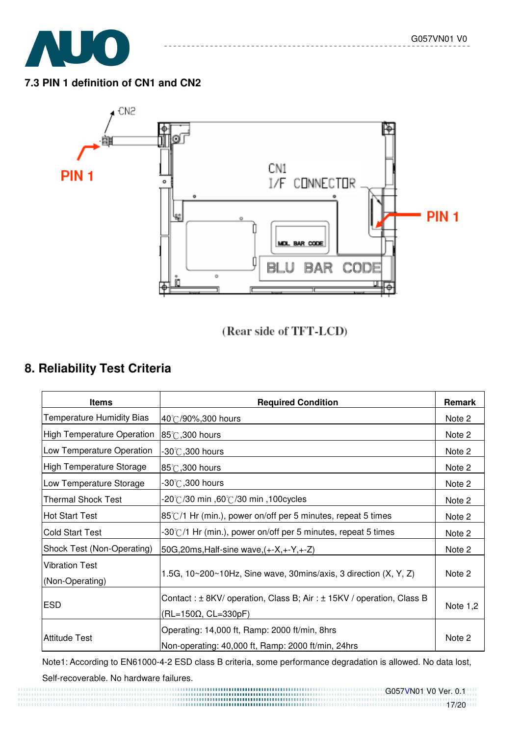![](_page_16_Picture_1.jpeg)

## **7.3 PIN 1 definition of CN1 and CN2**

![](_page_16_Figure_3.jpeg)

# (Rear side of TFT-LCD)

# **8. Reliability Test Criteria**

| <b>Items</b>                             | <b>Required Condition</b>                                                                           | Remark     |
|------------------------------------------|-----------------------------------------------------------------------------------------------------|------------|
| <b>Temperature Humidity Bias</b>         | 40°C/90%,300 hours                                                                                  | Note 2     |
| <b>High Temperature Operation</b>        | 85℃,300 hours                                                                                       | Note 2     |
| Low Temperature Operation                | $-30^{\circ}$ C ,300 hours                                                                          | Note 2     |
| <b>High Temperature Storage</b>          | 85°C, 300 hours                                                                                     | Note 2     |
| Low Temperature Storage                  | $-30^{\circ}$ C,300 hours                                                                           | Note 2     |
| <b>Thermal Shock Test</b>                | ,100cycles ו-60℃/30 min, 100cycles                                                                  | Note 2     |
| <b>Hot Start Test</b>                    | $85^{\circ}$ /1 Hr (min.), power on/off per 5 minutes, repeat 5 times                               | Note 2     |
| <b>Cold Start Test</b>                   | -30°C/1 Hr (min.), power on/off per 5 minutes, repeat 5 times                                       | Note 2     |
| Shock Test (Non-Operating)               | 50G, 20ms, Half-sine wave, (+-X, +-Y, +-Z)                                                          | Note 2     |
| <b>Vibration Test</b><br>(Non-Operating) | 1.5G, $10~200~10$ Hz, Sine wave, 30mins/axis, 3 direction $(X, Y, Z)$                               | Note 2     |
| <b>ESD</b>                               | Contact: ± 8KV/ operation, Class B; Air: ± 15KV / operation, Class B<br>$(RL=150\Omega, CL=330pF)$  | Note $1,2$ |
| <b>Attitude Test</b>                     | Operating: 14,000 ft, Ramp: 2000 ft/min, 8hrs<br>Non-operating: 40,000 ft, Ramp: 2000 ft/min, 24hrs | Note 2     |

Note1: According to EN61000-4-2 ESD class B criteria, some performance degradation is allowed. No data lost,

Self-recoverable. No hardware failures.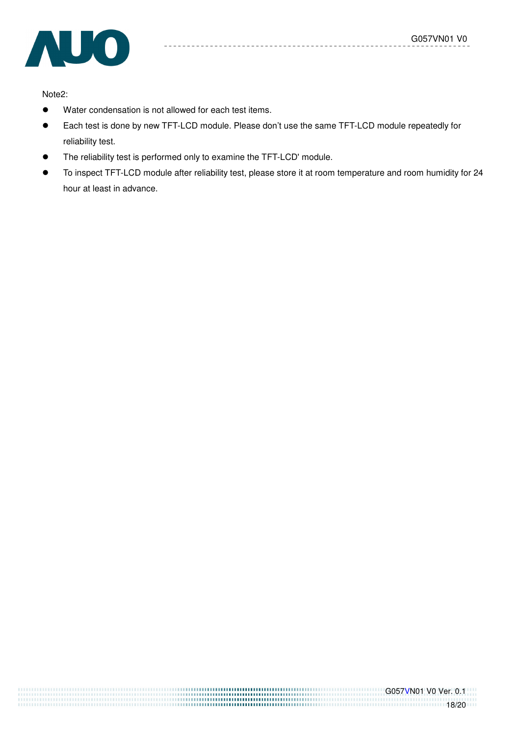![](_page_17_Picture_1.jpeg)

Note2:

- Water condensation is not allowed for each test items.
- Each test is done by new TFT-LCD module. Please don't use the same TFT-LCD module repeatedly for reliability test.

 $- - = -$ 

- The reliability test is performed only to examine the TFT-LCD' module.
- To inspect TFT-LCD module after reliability test, please store it at room temperature and room humidity for 24 hour at least in advance.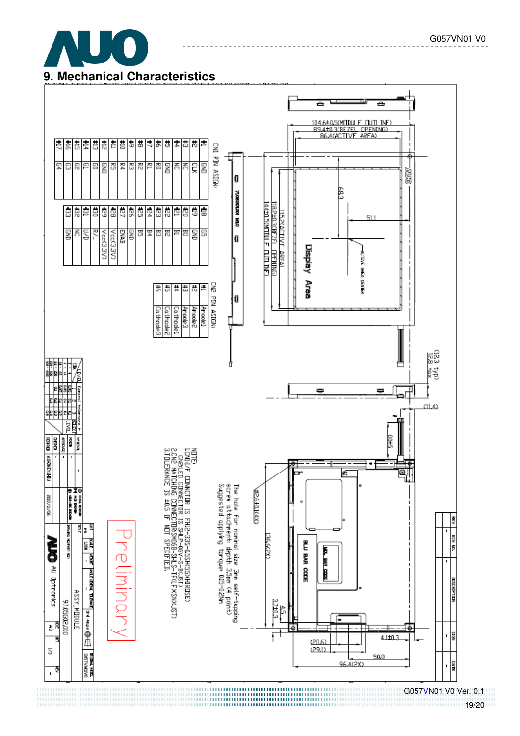![](_page_18_Picture_0.jpeg)

![](_page_18_Figure_1.jpeg)